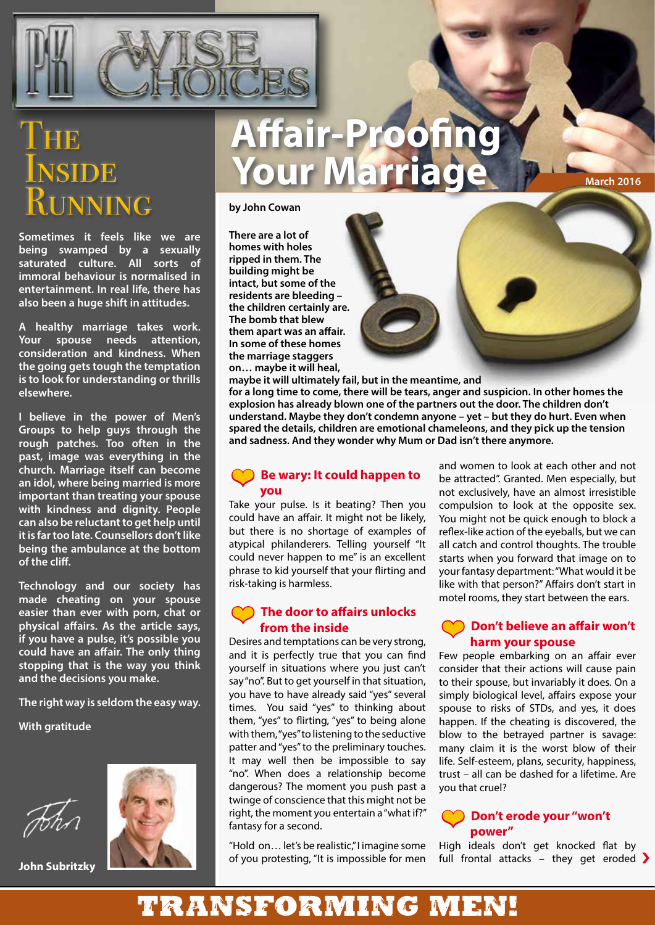

# JSIDE **UNNING**

**Sometimes it feels like we are being swamped by a sexually saturated culture. All sorts of immoral behaviour is normalised in entertainment. In real life, there has also been a huge shift in attitudes.**

**A healthy marriage takes work. Your spouse needs attention, consideration and kindness. When the going gets tough the temptation is to look for understanding or thrills elsewhere.**

**I believe in the power of Men's Groups to help guys through the rough patches. Too often in the past, image was everything in the church. Marriage itself can become an idol, where being married is more important than treating your spouse with kindness and dignity. People can also be reluctant to get help until it is far too late. Counsellors don't like being the ambulance at the bottom of the cliff.**

**Technology and our society has made cheating on your spouse easier than ever with porn, chat or physical affairs. As the article says, if you have a pulse, it's possible you could have an affair. The only thing stopping that is the way you think and the decisions you make.**

**The right way is seldom the easy way.**

**With gratitude**



**John Subritzky**

## **Affair-Proofing YOUR Marriage March 2016**

**by John Cowan**

**There are a lot of homes with holes ripped in them. The building might be intact, but some of the residents are bleeding – the children certainly are. The bomb that blew them apart was an affair. In some of these homes the marriage staggers on… maybe it will heal, maybe it will ultimately fail, but in the meantime, and** 

**for a long time to come, there will be tears, anger and suspicion. In other homes the explosion has already blown one of the partners out the door. The children don't understand. Maybe they don't condemn anyone – yet – but they do hurt. Even when spared the details, children are emotional chameleons, and they pick up the tension and sadness. And they wonder why Mum or Dad isn't there anymore.**

### ❤ **Be wary: It could happen to you**

Take your pulse. Is it beating? Then you could have an affair. It might not be likely, but there is no shortage of examples of atypical philanderers. Telling yourself "It could never happen to me" is an excellent phrase to kid yourself that your flirting and risk-taking is harmless.

### ❤ **The door to affairs unlocks from the inside**

Desires and temptations can be very strong, and it is perfectly true that you can find yourself in situations where you just can't say "no". But to get yourself in that situation, you have to have already said "yes" several times. You said "yes" to thinking about them, "yes" to flirting, "yes" to being alone with them, "yes" to listening to the seductive patter and "yes" to the preliminary touches. It may well then be impossible to say "no". When does a relationship become dangerous? The moment you push past a twinge of conscience that this might not be right, the moment you entertain a "what if?" fantasy for a second.

"Hold on… let's be realistic," I imagine some of you protesting, "It is impossible for men and women to look at each other and not be attracted". Granted. Men especially, but not exclusively, have an almost irresistible compulsion to look at the opposite sex. You might not be quick enough to block a reflex-like action of the eyeballs, but we can all catch and control thoughts. The trouble starts when you forward that image on to your fantasy department: "What would it be like with that person?" Affairs don't start in motel rooms, they start between the ears.

### ❤ **Don't believe an affair won't harm your spouse**

Few people embarking on an affair ever consider that their actions will cause pain to their spouse, but invariably it does. On a simply biological level, affairs expose your spouse to risks of STDs, and yes, it does happen. If the cheating is discovered, the blow to the betrayed partner is savage: many claim it is the worst blow of their life. Self-esteem, plans, security, happiness, trust – all can be dashed for a lifetime. Are you that cruel?

### ❤ **Don't erode your "won't power"**

High ideals don't get knocked flat by full frontal attacks – they get eroded  $\sum$ 

### Transforming men!